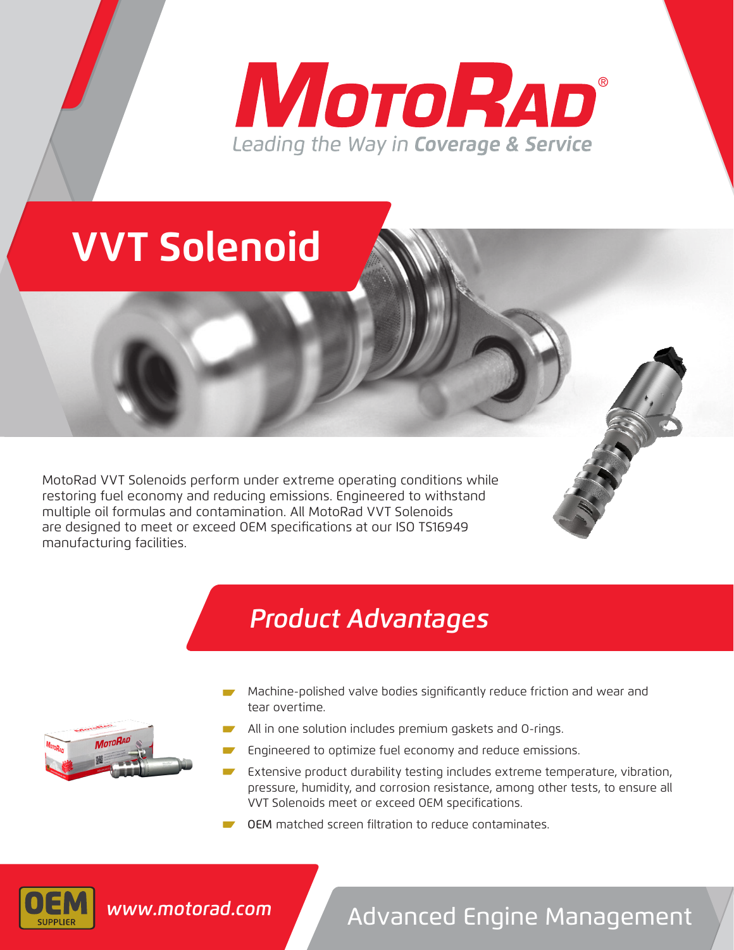# **MOTORAD®** Leading the Way in Coverage & Service

# **VVT Solenoid**

MotoRad VVT Solenoids perform under extreme operating conditions while restoring fuel economy and reducing emissions. Engineered to withstand multiple oil formulas and contamination. All MotoRad VVT Solenoids are designed to meet or exceed OEM specifications at our ISO TS16949 manufacturing facilities.

### *Product Advantages*



- Machine-polished valve bodies significantly reduce friction and wear and tear overtime.
- All in one solution includes premium gaskets and O-rings.
- Engineered to optimize fuel economy and reduce emissions.
- Extensive product durability testing includes extreme temperature, vibration, pressure, humidity, and corrosion resistance, among other tests, to ensure all VVT Solenoids meet or exceed OEM specifications.
- OEM matched screen filtration to reduce contaminates



## Advanced Engine Management *www.motorad.com*